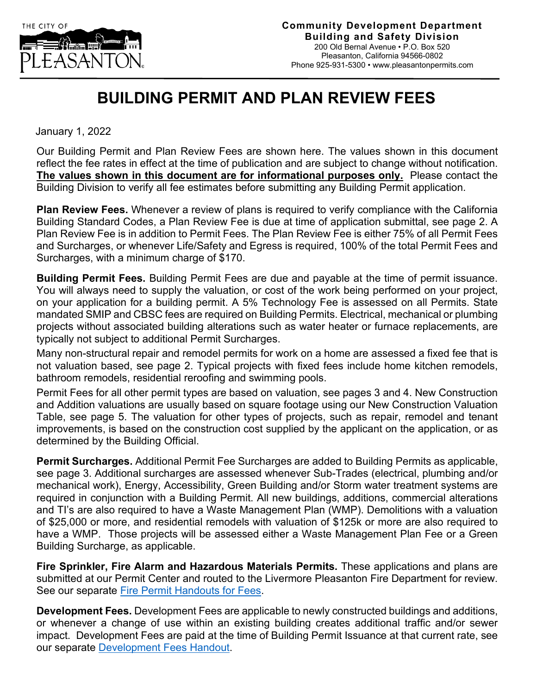

## **BUILDING PERMIT AND PLAN REVIEW FEES**

January 1, 2022

Our Building Permit and Plan Review Fees are shown here. The values shown in this document reflect the fee rates in effect at the time of publication and are subject to change without notification. **The values shown in this document are for informational purposes only.** Please contact the Building Division to verify all fee estimates before submitting any Building Permit application.

**Plan Review Fees.** Whenever a review of plans is required to verify compliance with the California Building Standard Codes, a Plan Review Fee is due at time of application submittal, see page 2. A Plan Review Fee is in addition to Permit Fees. The Plan Review Fee is either 75% of all Permit Fees and Surcharges, or whenever Life/Safety and Egress is required, 100% of the total Permit Fees and Surcharges, with a minimum charge of \$170.

**Building Permit Fees.** Building Permit Fees are due and payable at the time of permit issuance. You will always need to supply the valuation, or cost of the work being performed on your project, on your application for a building permit. A 5% Technology Fee is assessed on all Permits. State mandated SMIP and CBSC fees are required on Building Permits. Electrical, mechanical or plumbing projects without associated building alterations such as water heater or furnace replacements, are typically not subject to additional Permit Surcharges.

Many non-structural repair and remodel permits for work on a home are assessed a fixed fee that is not valuation based, see page 2. Typical projects with fixed fees include home kitchen remodels, bathroom remodels, residential reroofing and swimming pools.

Permit Fees for all other permit types are based on valuation, see pages 3 and 4. New Construction and Addition valuations are usually based on square footage using our New Construction Valuation Table, see page 5. The valuation for other types of projects, such as repair, remodel and tenant improvements, is based on the construction cost supplied by the applicant on the application, or as determined by the Building Official.

**Permit Surcharges.** Additional Permit Fee Surcharges are added to Building Permits as applicable, see page 3. Additional surcharges are assessed whenever Sub-Trades (electrical, plumbing and/or mechanical work), Energy, Accessibility, Green Building and/or Storm water treatment systems are required in conjunction with a Building Permit. All new buildings, additions, commercial alterations and TI's are also required to have a Waste Management Plan (WMP). Demolitions with a valuation of \$25,000 or more, and residential remodels with valuation of \$125k or more are also required to have a WMP. Those projects will be assessed either a Waste Management Plan Fee or a Green Building Surcharge, as applicable.

**Fire Sprinkler, Fire Alarm and Hazardous Materials Permits.** These applications and plans are submitted at our Permit Center and routed to the Livermore Pleasanton Fire Department for review. See our separate [Fire Permit Handouts for Fees.](http://www.cityofpleasantonca.gov/gov/depts/cd/permit/fee.asp)

**Development Fees.** Development Fees are applicable to newly constructed buildings and additions, or whenever a change of use within an existing building creates additional traffic and/or sewer impact. Development Fees are paid at the time of Building Permit Issuance at that current rate, see our separate [Development Fees Handout.](https://www.cityofpleasantonca.gov/gov/depts/cd/permit/fee.asp)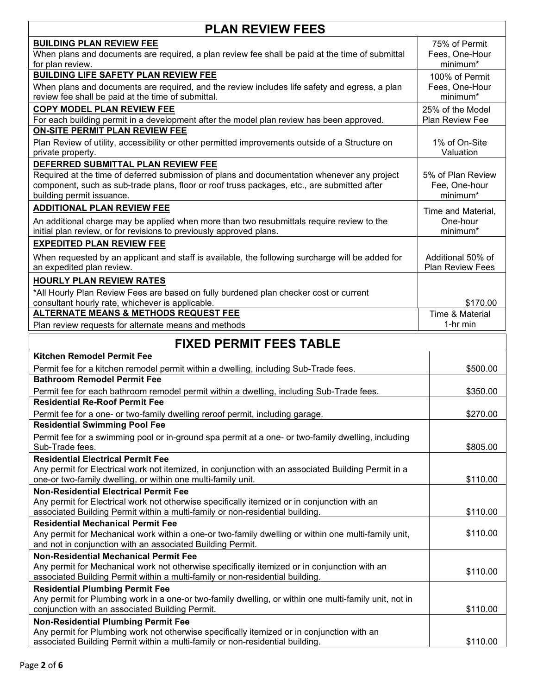| <b>PLAN REVIEW FEES</b>                                                                                                                                                                                                                                       |                                                |  |  |  |
|---------------------------------------------------------------------------------------------------------------------------------------------------------------------------------------------------------------------------------------------------------------|------------------------------------------------|--|--|--|
| <b>BUILDING PLAN REVIEW FEE</b><br>When plans and documents are required, a plan review fee shall be paid at the time of submittal<br>for plan review.                                                                                                        | 75% of Permit<br>Fees, One-Hour<br>minimum*    |  |  |  |
| <b>BUILDING LIFE SAFETY PLAN REVIEW FEE</b><br>When plans and documents are required, and the review includes life safety and egress, a plan<br>review fee shall be paid at the time of submittal.                                                            | 100% of Permit<br>Fees, One-Hour<br>minimum*   |  |  |  |
| <b>COPY MODEL PLAN REVIEW FEE</b><br>For each building permit in a development after the model plan review has been approved.                                                                                                                                 | 25% of the Model<br>Plan Review Fee            |  |  |  |
| <b>ON-SITE PERMIT PLAN REVIEW FEE</b><br>Plan Review of utility, accessibility or other permitted improvements outside of a Structure on<br>private property.                                                                                                 | 1% of On-Site<br>Valuation                     |  |  |  |
| DEFERRED SUBMITTAL PLAN REVIEW FEE<br>Required at the time of deferred submission of plans and documentation whenever any project<br>component, such as sub-trade plans, floor or roof truss packages, etc., are submitted after<br>building permit issuance. | 5% of Plan Review<br>Fee, One-hour<br>minimum* |  |  |  |
| <b>ADDITIONAL PLAN REVIEW FEE</b>                                                                                                                                                                                                                             | Time and Material,                             |  |  |  |
| An additional charge may be applied when more than two resubmittals require review to the<br>initial plan review, or for revisions to previously approved plans.                                                                                              | One-hour<br>minimum*                           |  |  |  |
| <b>EXPEDITED PLAN REVIEW FEE</b><br>When requested by an applicant and staff is available, the following surcharge will be added for<br>an expedited plan review.                                                                                             | Additional 50% of<br><b>Plan Review Fees</b>   |  |  |  |
| <b>HOURLY PLAN REVIEW RATES</b><br>*All Hourly Plan Review Fees are based on fully burdened plan checker cost or current<br>consultant hourly rate, whichever is applicable.                                                                                  | \$170.00                                       |  |  |  |
| <b>ALTERNATE MEANS &amp; METHODS REQUEST FEE</b>                                                                                                                                                                                                              | Time & Material                                |  |  |  |
| Plan review requests for alternate means and methods                                                                                                                                                                                                          | 1-hr min                                       |  |  |  |
| <b>FIXED PERMIT FEES TABLE</b>                                                                                                                                                                                                                                |                                                |  |  |  |
| <b>Kitchen Remodel Permit Fee</b>                                                                                                                                                                                                                             |                                                |  |  |  |
| Permit fee for a kitchen remodel permit within a dwelling, including Sub-Trade fees.<br><b>Bathroom Remodel Permit Fee</b>                                                                                                                                    | \$500.00                                       |  |  |  |
| Permit fee for each bathroom remodel permit within a dwelling, including Sub-Trade fees.<br><b>Residential Re-Roof Permit Fee</b>                                                                                                                             | \$350.00                                       |  |  |  |
| Permit fee for a one- or two-family dwelling reroof permit, including garage.                                                                                                                                                                                 | \$270.00                                       |  |  |  |
| <b>Residential Swimming Pool Fee</b>                                                                                                                                                                                                                          |                                                |  |  |  |
| Permit fee for a swimming pool or in-ground spa permit at a one- or two-family dwelling, including<br>Sub-Trade fees.                                                                                                                                         | \$805.00                                       |  |  |  |
| <b>Residential Electrical Permit Fee</b><br>Any permit for Electrical work not itemized, in conjunction with an associated Building Permit in a<br>one-or two-family dwelling, or within one multi-family unit.                                               | \$110.00                                       |  |  |  |
| <b>Non-Residential Electrical Permit Fee</b><br>Any permit for Electrical work not otherwise specifically itemized or in conjunction with an<br>associated Building Permit within a multi-family or non-residential building.                                 | \$110.00                                       |  |  |  |
| <b>Residential Mechanical Permit Fee</b><br>Any permit for Mechanical work within a one-or two-family dwelling or within one multi-family unit,<br>and not in conjunction with an associated Building Permit.                                                 | \$110.00                                       |  |  |  |
| <b>Non-Residential Mechanical Permit Fee</b><br>Any permit for Mechanical work not otherwise specifically itemized or in conjunction with an<br>associated Building Permit within a multi-family or non-residential building.                                 | \$110.00                                       |  |  |  |
| <b>Residential Plumbing Permit Fee</b>                                                                                                                                                                                                                        |                                                |  |  |  |
| Any permit for Plumbing work in a one-or two-family dwelling, or within one multi-family unit, not in<br>conjunction with an associated Building Permit.                                                                                                      | \$110.00                                       |  |  |  |
| <b>Non-Residential Plumbing Permit Fee</b><br>Any permit for Plumbing work not otherwise specifically itemized or in conjunction with an                                                                                                                      |                                                |  |  |  |
| associated Building Permit within a multi-family or non-residential building.                                                                                                                                                                                 | \$110.00                                       |  |  |  |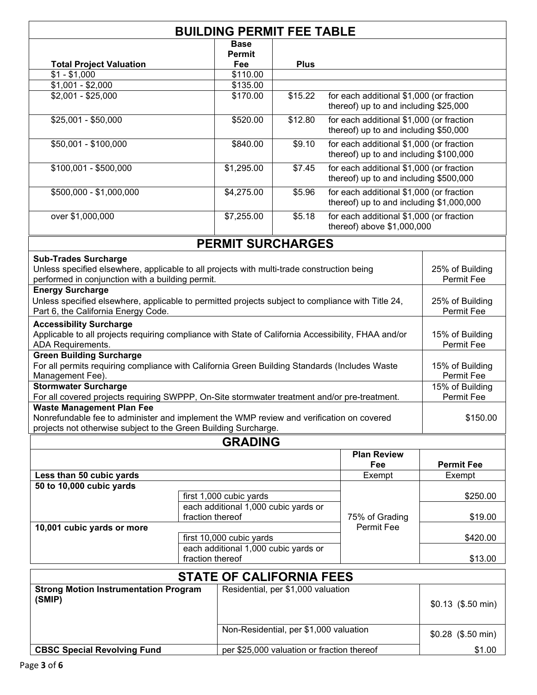| <b>BUILDING PERMIT FEE TABLE</b>                                                                                                                            |                          |                                                                                     |                                    |                                                                                      |                                                                        |  |  |
|-------------------------------------------------------------------------------------------------------------------------------------------------------------|--------------------------|-------------------------------------------------------------------------------------|------------------------------------|--------------------------------------------------------------------------------------|------------------------------------------------------------------------|--|--|
|                                                                                                                                                             |                          | <b>Base</b>                                                                         |                                    |                                                                                      |                                                                        |  |  |
|                                                                                                                                                             |                          | <b>Permit</b>                                                                       |                                    |                                                                                      |                                                                        |  |  |
| <b>Total Project Valuation</b>                                                                                                                              |                          | Fee                                                                                 | <b>Plus</b>                        |                                                                                      |                                                                        |  |  |
| $$1 - $1,000$                                                                                                                                               |                          | \$110.00                                                                            |                                    |                                                                                      |                                                                        |  |  |
| $$1,001 - $2,000$                                                                                                                                           |                          | \$135.00                                                                            |                                    |                                                                                      |                                                                        |  |  |
| $$2,001 - $25,000$                                                                                                                                          |                          | \$170.00                                                                            | \$15.22                            | for each additional \$1,000 (or fraction<br>thereof) up to and including \$25,000    |                                                                        |  |  |
| \$25,001 - \$50,000                                                                                                                                         |                          | \$520.00                                                                            | \$12.80                            | for each additional \$1,000 (or fraction<br>thereof) up to and including \$50,000    |                                                                        |  |  |
| \$50,001 - \$100,000                                                                                                                                        |                          | \$840.00                                                                            | $\overline{$9.10}$                 | for each additional \$1,000 (or fraction<br>thereof) up to and including \$100,000   |                                                                        |  |  |
| \$100,001 - \$500,000                                                                                                                                       |                          | \$1,295.00                                                                          | \$7.45                             | for each additional \$1,000 (or fraction<br>thereof) up to and including \$500,000   |                                                                        |  |  |
| \$500,000 - \$1,000,000                                                                                                                                     |                          | \$4,275.00                                                                          | \$5.96                             | for each additional \$1,000 (or fraction<br>thereof) up to and including \$1,000,000 |                                                                        |  |  |
| over \$1,000,000                                                                                                                                            |                          | \$7,255.00                                                                          | \$5.18                             |                                                                                      | for each additional \$1,000 (or fraction<br>thereof) above \$1,000,000 |  |  |
|                                                                                                                                                             |                          |                                                                                     | <b>PERMIT SURCHARGES</b>           |                                                                                      |                                                                        |  |  |
| <b>Sub-Trades Surcharge</b>                                                                                                                                 |                          |                                                                                     |                                    |                                                                                      |                                                                        |  |  |
| Unless specified elsewhere, applicable to all projects with multi-trade construction being<br>performed in conjunction with a building permit.              |                          |                                                                                     |                                    | 25% of Building<br>Permit Fee                                                        |                                                                        |  |  |
| <b>Energy Surcharge</b>                                                                                                                                     |                          |                                                                                     |                                    |                                                                                      |                                                                        |  |  |
| Unless specified elsewhere, applicable to permitted projects subject to compliance with Title 24,<br>Part 6, the California Energy Code.                    |                          |                                                                                     | 25% of Building<br>Permit Fee      |                                                                                      |                                                                        |  |  |
| <b>Accessibility Surcharge</b><br>Applicable to all projects requiring compliance with State of California Accessibility, FHAA and/or<br>ADA Requirements.  |                          |                                                                                     | 15% of Building<br>Permit Fee      |                                                                                      |                                                                        |  |  |
| <b>Green Building Surcharge</b><br>For all permits requiring compliance with California Green Building Standards (Includes Waste<br>Management Fee).        |                          |                                                                                     |                                    | 15% of Building<br>Permit Fee                                                        |                                                                        |  |  |
| <b>Stormwater Surcharge</b>                                                                                                                                 |                          |                                                                                     |                                    |                                                                                      | 15% of Building                                                        |  |  |
| For all covered projects requiring SWPPP, On-Site stormwater treatment and/or pre-treatment.                                                                |                          |                                                                                     |                                    |                                                                                      | Permit Fee                                                             |  |  |
| <b>Waste Management Plan Fee</b>                                                                                                                            |                          |                                                                                     |                                    |                                                                                      |                                                                        |  |  |
| Nonrefundable fee to administer and implement the WMP review and verification on covered<br>projects not otherwise subject to the Green Building Surcharge. |                          |                                                                                     |                                    |                                                                                      | \$150.00                                                               |  |  |
|                                                                                                                                                             |                          | <b>GRADING</b>                                                                      |                                    |                                                                                      |                                                                        |  |  |
|                                                                                                                                                             |                          |                                                                                     |                                    | <b>Plan Review</b>                                                                   |                                                                        |  |  |
|                                                                                                                                                             |                          |                                                                                     |                                    | Fee                                                                                  | <b>Permit Fee</b>                                                      |  |  |
| Less than 50 cubic yards                                                                                                                                    |                          |                                                                                     |                                    | Exempt                                                                               | Exempt                                                                 |  |  |
| 50 to 10,000 cubic yards                                                                                                                                    |                          |                                                                                     |                                    |                                                                                      |                                                                        |  |  |
|                                                                                                                                                             |                          |                                                                                     |                                    |                                                                                      | \$250.00                                                               |  |  |
|                                                                                                                                                             |                          | first 1,000 cubic yards<br>each additional 1,000 cubic yards or<br>fraction thereof |                                    | 75% of Grading                                                                       | \$19.00                                                                |  |  |
| 10,001 cubic yards or more                                                                                                                                  | first 10,000 cubic yards |                                                                                     | Permit Fee                         |                                                                                      |                                                                        |  |  |
|                                                                                                                                                             |                          |                                                                                     |                                    | \$420.00                                                                             |                                                                        |  |  |
|                                                                                                                                                             |                          | each additional 1,000 cubic yards or<br>fraction thereof                            |                                    |                                                                                      | \$13.00                                                                |  |  |
| <b>STATE OF CALIFORNIA FEES</b>                                                                                                                             |                          |                                                                                     |                                    |                                                                                      |                                                                        |  |  |
| <b>Strong Motion Instrumentation Program</b>                                                                                                                |                          |                                                                                     | Residential, per \$1,000 valuation |                                                                                      |                                                                        |  |  |
| (SMIP)                                                                                                                                                      |                          |                                                                                     |                                    |                                                                                      | $$0.13$ (\$.50 min)                                                    |  |  |

Non-Residential, per \$1,000 valuation \$0.28 (\$.50 min)

**CBSC Special Revolving Fund** per \$25,000 valuation or fraction thereof \$1.00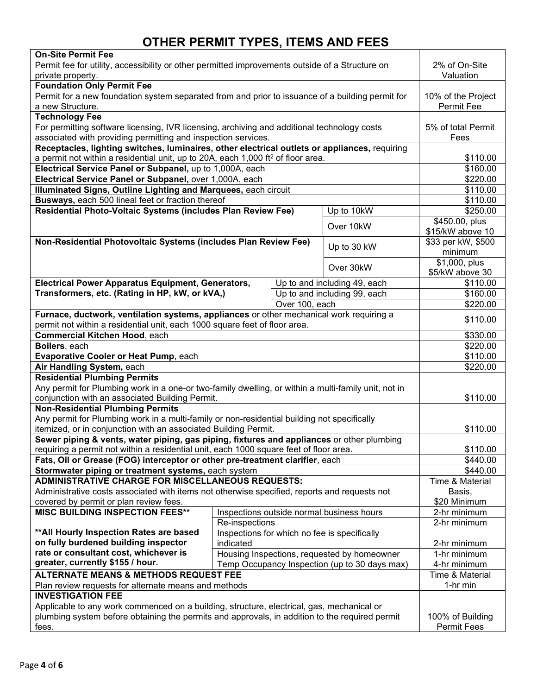## **OTHER PERMIT TYPES, ITEMS AND FEES**

| On-Site Permit Fee                                                                                  |                                             |                |                                              |                    |
|-----------------------------------------------------------------------------------------------------|---------------------------------------------|----------------|----------------------------------------------|--------------------|
| Permit fee for utility, accessibility or other permitted improvements outside of a Structure on     |                                             | 2% of On-Site  |                                              |                    |
| private property.                                                                                   |                                             |                |                                              | Valuation          |
| <b>Foundation Only Permit Fee</b>                                                                   |                                             |                |                                              |                    |
| Permit for a new foundation system separated from and prior to issuance of a building permit for    |                                             |                |                                              | 10% of the Project |
| a new Structure.                                                                                    |                                             |                |                                              | Permit Fee         |
| <b>Technology Fee</b>                                                                               |                                             |                |                                              |                    |
| For permitting software licensing, IVR licensing, archiving and additional technology costs         |                                             |                |                                              | 5% of total Permit |
| associated with providing permitting and inspection services.                                       |                                             |                |                                              | Fees               |
| Receptacles, lighting switches, luminaires, other electrical outlets or appliances, requiring       |                                             |                |                                              |                    |
| a permit not within a residential unit, up to 20A, each 1,000 ft <sup>2</sup> of floor area.        |                                             |                |                                              | \$110.00           |
| Electrical Service Panel or Subpanel, up to 1,000A, each                                            |                                             |                |                                              | \$160.00           |
| Electrical Service Panel or Subpanel, over 1,000A, each                                             |                                             |                |                                              | \$220.00           |
| Illuminated Signs, Outline Lighting and Marquees, each circuit                                      |                                             |                |                                              | \$110.00           |
| Busways, each 500 lineal feet or fraction thereof                                                   |                                             |                |                                              | \$110.00           |
| Residential Photo-Voltaic Systems (includes Plan Review Fee)<br>Up to 10kW                          |                                             |                | \$250.00                                     |                    |
|                                                                                                     |                                             |                | Over 10kW                                    | \$450.00, plus     |
|                                                                                                     |                                             |                |                                              | \$15/kW above 10   |
| Non-Residential Photovoltaic Systems (includes Plan Review Fee)                                     |                                             |                | Up to 30 kW                                  | \$33 per kW, \$500 |
|                                                                                                     |                                             |                |                                              | minimum            |
|                                                                                                     |                                             |                | Over 30kW                                    | \$1,000, plus      |
|                                                                                                     |                                             |                |                                              | \$5/kW above 30    |
| <b>Electrical Power Apparatus Equipment, Generators,</b>                                            |                                             |                | Up to and including 49, each                 | \$110.00           |
| Transformers, etc. (Rating in HP, kW, or kVA,)                                                      |                                             |                | Up to and including 99, each                 | \$160.00           |
|                                                                                                     |                                             | Over 100, each |                                              | \$220.00           |
| Furnace, ductwork, ventilation systems, appliances or other mechanical work requiring a             |                                             |                |                                              |                    |
| permit not within a residential unit, each 1000 square feet of floor area.                          |                                             |                |                                              | \$110.00           |
| Commercial Kitchen Hood, each                                                                       |                                             |                |                                              | 330.00             |
| Boilers, each                                                                                       |                                             |                |                                              | \$220.00           |
| Evaporative Cooler or Heat Pump, each                                                               | $\overline{$}110.00$                        |                |                                              |                    |
| Air Handling System, each                                                                           | \$220.00                                    |                |                                              |                    |
| <b>Residential Plumbing Permits</b>                                                                 |                                             |                |                                              |                    |
| Any permit for Plumbing work in a one-or two-family dwelling, or within a multi-family unit, not in |                                             |                |                                              |                    |
| conjunction with an associated Building Permit.                                                     |                                             |                |                                              | \$110.00           |
| <b>Non-Residential Plumbing Permits</b>                                                             |                                             |                |                                              |                    |
| Any permit for Plumbing work in a multi-family or non-residential building not specifically         |                                             |                |                                              |                    |
| itemized, or in conjunction with an associated Building Permit.                                     |                                             |                |                                              | \$110.00           |
| Sewer piping & vents, water piping, gas piping, fixtures and appliances or other plumbing           |                                             |                |                                              |                    |
| requiring a permit not within a residential unit, each 1000 square feet of floor area.              |                                             |                |                                              | \$110.00           |
| Fats, Oil or Grease (FOG) interceptor or other pre-treatment clarifier, each                        | \$440.00                                    |                |                                              |                    |
| Stormwater piping or treatment systems, each system                                                 |                                             |                |                                              | \$440.00           |
| <b>ADMINISTRATIVE CHARGE FOR MISCELLANEOUS REQUESTS:</b>                                            |                                             |                |                                              | Time & Material    |
| Administrative costs associated with items not otherwise specified, reports and requests not        |                                             |                |                                              | Basis,             |
| covered by permit or plan review fees.                                                              |                                             |                |                                              | \$20 Minimum       |
| <b>MISC BUILDING INSPECTION FEES**</b>                                                              |                                             |                | Inspections outside normal business hours    | 2-hr minimum       |
|                                                                                                     | Re-inspections                              |                |                                              | 2-hr minimum       |
| ** All Hourly Inspection Rates are based                                                            |                                             |                | Inspections for which no fee is specifically |                    |
| on fully burdened building inspector                                                                | indicated                                   |                |                                              | 2-hr minimum       |
| rate or consultant cost, whichever is                                                               | Housing Inspections, requested by homeowner |                |                                              | 1-hr minimum       |
| greater, currently \$155 / hour.<br>Temp Occupancy Inspection (up to 30 days max)                   |                                             |                |                                              | 4-hr minimum       |
| <b>ALTERNATE MEANS &amp; METHODS REQUEST FEE</b>                                                    | Time & Material                             |                |                                              |                    |
| Plan review requests for alternate means and methods                                                | 1-hr min                                    |                |                                              |                    |
| <b>INVESTIGATION FEE</b>                                                                            |                                             |                |                                              |                    |
| Applicable to any work commenced on a building, structure, electrical, gas, mechanical or           |                                             |                |                                              |                    |
| plumbing system before obtaining the permits and approvals, in addition to the required permit      |                                             |                |                                              | 100% of Building   |
| fees.                                                                                               |                                             |                |                                              | <b>Permit Fees</b> |
|                                                                                                     |                                             |                |                                              |                    |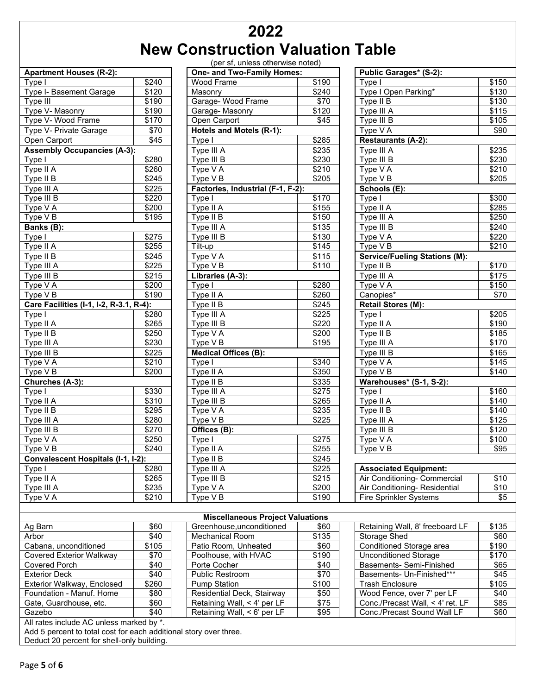## **2022 New Construction Valuation Table**

(per sf, unless otherwise noted)

|                                           |                 | TPCI 31, UNIC33 OUICTWISC HOLCUT        |              |                                      |                   |
|-------------------------------------------|-----------------|-----------------------------------------|--------------|--------------------------------------|-------------------|
| <b>Apartment Houses (R-2):</b>            |                 | One- and Two-Family Homes:              |              | Public Garages* (S-2):               |                   |
| Type I                                    | \$240           | <b>Wood Frame</b>                       | \$190        | Type I                               | \$150             |
| Type I- Basement Garage                   | \$120           | Masonry                                 | \$240        | Type I Open Parking*                 | \$130             |
| Type III                                  | \$190           | Garage- Wood Frame                      | $\sqrt{$70}$ | Type II B                            | \$130             |
| Type V- Masonry                           | $\frac{1}{190}$ | Garage-Masonry                          | \$120        | Type III A                           | $\overline{$115}$ |
| Type V- Wood Frame                        | \$170           | Open Carport                            | \$45         | Type III B                           | \$105             |
| Type V- Private Garage                    | \$70            | Hotels and Motels (R-1):                |              | Type V A                             | \$90              |
| Open Carport                              | \$45            | Type I                                  | \$285        | <b>Restaurants (A-2):</b>            |                   |
| <b>Assembly Occupancies (A-3):</b>        |                 | Type III A                              | \$235        | Type III A                           | \$235             |
| Type I                                    | \$280           | Type III B                              | \$230        | Type III B                           | \$230             |
| Type II $\overline{A}$                    | \$260           | Type V A                                | \$210        | Type V A                             | \$210             |
| Type II B                                 | \$245           | Type V B                                | \$205        | Type V B                             | \$205             |
| Type III A                                | \$225           | Factories, Industrial (F-1, F-2):       |              | Schools (E):                         |                   |
| Type III B                                | \$220           | Type I                                  | \$170        | Type I                               | \$300             |
| Type V A                                  | \$200           | Type II A                               | \$155        | Type II A                            | \$285             |
| Type V B                                  | \$195           | Type II B                               | \$150        | Type III A                           | \$250             |
| Banks (B):                                |                 | Type III A                              | \$135        | Type III B                           | \$240             |
| Type I                                    | \$275           | Type III B                              | \$130        | Type V A                             | \$220             |
| Type II A                                 | \$255           | Tilt-up                                 | \$145        | Type V B                             | \$210             |
| Type II B                                 | \$245           | Type V A                                | \$115        | <b>Service/Fueling Stations (M):</b> |                   |
| Type III A                                | \$225           | Type V B                                | \$110        | Type II B                            | \$170             |
| Type III B                                | \$215           | Libraries (A-3):                        |              | Type III A                           | \$175             |
| Type V A                                  | \$200           | Type I                                  | \$280        | Type V A                             | \$150             |
| Type V B                                  | \$190           | Type II A                               | \$260        | Canopies*                            | $\overline{$}70$  |
| Care Facilities (I-1, I-2, R-3.1, R-4):   |                 | Type II B                               | \$245        | <b>Retail Stores (M):</b>            |                   |
| Type I                                    | \$280           | Type III A                              | \$225        | Type I                               | \$205             |
| Type II A                                 | \$265           | Type III B                              | \$220        | Type II A                            | \$190             |
| Type II B                                 | \$250           | Type V A                                | \$200        | $T$ ype II B                         | \$185             |
| Type III A                                | \$230           | Type V B                                | \$195        | Type III A                           | \$170             |
| Type III B                                | \$225           | <b>Medical Offices (B):</b>             |              | Type III B                           | \$165             |
| Type V A                                  | \$210           | Type I                                  | \$340        | Type V A                             | \$145             |
| Type VB                                   | \$200           | $\overline{T}$ ype II A                 | \$350        | Type V B                             | \$140             |
| Churches (A-3):                           |                 | Type II B                               | \$335        | Warehouses* (S-1, S-2):              |                   |
| Type I                                    | \$330           | Type III A                              | \$275        | Type I                               | \$160             |
| Type II $\overline{A}$                    | \$310           | Type III B                              | \$265        | Type II A                            | \$140             |
| Type II $\overline{B}$                    | \$295           | Type V A                                | \$235        | Type II B                            | \$140             |
| Type III A                                | \$280           | Type V B                                | \$225        | Type III A                           | \$125             |
| Type III B                                | \$270           | $Offices (B)$ :                         |              | Type III B                           | \$120             |
| Type V A                                  | \$250           | Type I                                  | \$275        | Type V A                             | \$100             |
| Type V B                                  | \$240           | Type II A                               | \$255        | Type V B                             | \$95              |
| <b>Convalescent Hospitals (I-1, I-2):</b> |                 | Type II B                               | \$245        |                                      |                   |
| Type I                                    | \$280           | Type III A                              | \$225        | <b>Associated Equipment:</b>         |                   |
| Type II A                                 | \$265           | Type III B                              | \$215        | Air Conditioning- Commercial         | \$10              |
| Type III A                                | \$235           | Type V A                                | \$200        | Air Conditioning-Residential         | \$10              |
| Type V A                                  | \$210           | Type V B                                | \$190        | <b>Fire Sprinkler Systems</b>        | \$5               |
|                                           |                 |                                         |              |                                      |                   |
|                                           |                 | <b>Miscellaneous Project Valuations</b> |              |                                      |                   |
| Ag Barn                                   | \$60            | Greenhouse, unconditioned               | \$60         | Retaining Wall, 8' freeboard LF      | \$135             |
| Arbor                                     | \$40            | Mechanical Room                         | \$135        | Storage Shed                         | \$60              |
| Cabana, unconditioned                     | \$105           | Patio Room, Unheated                    | \$60         | Conditioned Storage area             | \$190             |
| Covered Exterior Walkway                  | \$70            | Poolhouse with HVAC                     | \$190        | <b>Unconditioned Storage</b>         | \$170             |

| (por ar, unicas otherwise noted)<br>One- and Two-Family Homes: |                   |  |  |  |  |
|----------------------------------------------------------------|-------------------|--|--|--|--|
| <b>Wood Frame</b>                                              | \$190             |  |  |  |  |
| Masonry                                                        | \$240             |  |  |  |  |
| Garage-Wood Frame                                              | \$70              |  |  |  |  |
| Garage-Masonry                                                 | \$120             |  |  |  |  |
| Open Carport                                                   | \$45              |  |  |  |  |
| <b>Hotels and Motels (R-1):</b>                                |                   |  |  |  |  |
|                                                                |                   |  |  |  |  |
| Type I                                                         | \$285             |  |  |  |  |
| Type III A                                                     | \$235             |  |  |  |  |
| Type III B                                                     | \$230             |  |  |  |  |
| Type V A                                                       | $\overline{$}210$ |  |  |  |  |
| Type V B                                                       | \$205             |  |  |  |  |
| Factories, Industrial (F-1, F-2):                              |                   |  |  |  |  |
| Type I                                                         | \$170             |  |  |  |  |
| Type II A                                                      | \$155             |  |  |  |  |
| Type II B                                                      | \$150             |  |  |  |  |
| Type III A                                                     | \$135             |  |  |  |  |
| Type III B                                                     | \$130             |  |  |  |  |
| Tilt-up                                                        | \$145             |  |  |  |  |
| Type V A                                                       | \$115             |  |  |  |  |
| Type V B                                                       | \$110             |  |  |  |  |
| Libraries (A-3):                                               |                   |  |  |  |  |
| Type I                                                         | \$280             |  |  |  |  |
| Type II A                                                      | \$260             |  |  |  |  |
| Type II B                                                      | \$245             |  |  |  |  |
| Type III A                                                     | \$225             |  |  |  |  |
| Type III B                                                     | \$220             |  |  |  |  |
| Type V A                                                       | \$200             |  |  |  |  |
| Type V B                                                       | \$195             |  |  |  |  |
| Medical Offices (B):                                           |                   |  |  |  |  |
| Type I                                                         | \$340             |  |  |  |  |
| Type II A                                                      | \$350             |  |  |  |  |
| Type II B                                                      | \$335             |  |  |  |  |
| Type III A                                                     | <u>\$275</u>      |  |  |  |  |
| Type III B                                                     | \$265             |  |  |  |  |
| Type V A                                                       | \$235             |  |  |  |  |
| Type VB                                                        | \$225             |  |  |  |  |
| Offices (B):                                                   |                   |  |  |  |  |
| Type I                                                         | \$275             |  |  |  |  |
| Type II A                                                      | \$255             |  |  |  |  |
| Type II B                                                      | \$245             |  |  |  |  |
| Type III A                                                     | \$225             |  |  |  |  |
| Type III B                                                     | \$215             |  |  |  |  |
| Type V A                                                       | \$200             |  |  |  |  |
| Type V B                                                       | \$190             |  |  |  |  |
|                                                                |                   |  |  |  |  |

| Public Garages* (S-2):               |                   |
|--------------------------------------|-------------------|
| Type I                               | \$150             |
| Type I Open Parking*                 | \$130             |
| Type II B                            | \$130             |
| Type III A                           | \$115             |
| Type III B                           | \$105             |
| Type V A                             | \$90              |
| <b>Restaurants (A-2):</b>            |                   |
| Type III A                           | \$235             |
| Type III $\overline{B}$              | \$230             |
| Type V A                             | \$210             |
| Type V B                             | \$205             |
| Schools (E):                         |                   |
| Type I                               | \$300             |
| Type II A                            | $\overline{$}285$ |
| Type III A                           | \$250             |
| Type III B                           | \$240             |
|                                      |                   |
| Type V A<br>$Type \vee B$            | \$220<br>\$210    |
| <b>Service/Fueling Stations (M):</b> |                   |
|                                      |                   |
| Type II B                            | \$170             |
| Type III A                           | \$175             |
| Type V A                             | \$150             |
| Canopies*                            | \$70              |
| Retail Stores (M):                   |                   |
| Type I                               | \$205             |
| Type II A                            | \$190             |
| Type II B                            | \$185             |
| Type III A                           | \$170             |
| Type III B                           | \$165             |
| Type $\overline{V}$ A                | \$145             |
| Type V B                             | \$140             |
| Warehouses* (S-1, S-2):              |                   |
| Type $I$                             | \$160             |
| Type II A                            | \$140             |
| Type II B                            | \$140             |
| Type III A                           | \$125             |
| Type III B                           | \$120             |
| Type $\sqrt{A}$                      | \$100             |
| Type V B                             | \$95              |
|                                      |                   |
| <b>Associated Equipment:</b>         |                   |
| Air Conditioning- Commercial         | \$10              |
| Air Conditioning- Residential        | \$10              |
| <b>Fire Sprinkler Systems</b>        | \$5               |
|                                      |                   |
|                                      |                   |
| Retaining Wall, 8' freeboard LF      | \$135             |
|                                      |                   |

| <b>Miscellaneous Project Valuations</b> |       |                             |       |                                  |       |  |
|-----------------------------------------|-------|-----------------------------|-------|----------------------------------|-------|--|
| Ag Barn                                 | \$60  | Greenhouse, unconditioned   | \$60  | Retaining Wall, 8' freeboard LF  | \$135 |  |
| Arbor                                   | \$40  | Mechanical Room             | \$135 | Storage Shed                     | \$60  |  |
| Cabana, unconditioned                   | \$105 | Patio Room, Unheated        | \$60  | Conditioned Storage area         | \$190 |  |
| <b>Covered Exterior Walkway</b>         | \$70  | Poolhouse, with HVAC        | \$190 | <b>Unconditioned Storage</b>     | \$170 |  |
| Covered Porch                           | \$40  | Porte Cocher                | \$40  | Basements- Semi-Finished         | \$65  |  |
| <b>Exterior Deck</b>                    | \$40  | Public Restroom             | \$70  | Basements- Un-Finished***        | \$45  |  |
| Exterior Walkway, Enclosed              | \$260 | <b>Pump Station</b>         | \$100 | <b>Trash Enclosure</b>           | \$105 |  |
| Foundation - Manuf. Home                | \$80  | Residential Deck, Stairway  | \$50  | Wood Fence, over 7' per LF       | \$40  |  |
| Gate, Guardhouse, etc.                  | \$60  | Retaining Wall, < 4' per LF | \$75  | Conc./Precast Wall, < 4' ret. LF | \$85  |  |
| Gazebo                                  | \$40  | Retaining Wall, < 6' per LF | \$95  | Conc./Precast Sound Wall LF      | \$60  |  |
| All rator include AC unloss marked by * |       |                             |       |                                  |       |  |

All rates include AC unless marked by \*.

Add 5 percent to total cost for each additional story over three.

Deduct 20 percent for shell-only building.